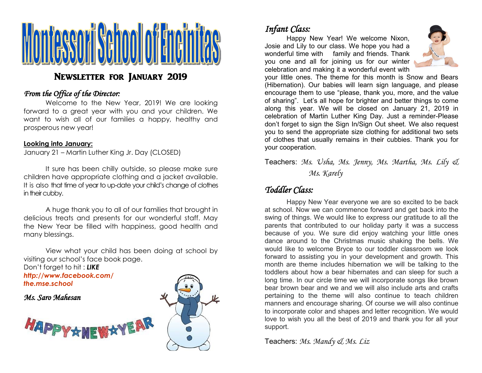

# Newsletter for January 2019

#### *From the Office of the Director:*

Welcome to the New Year, 2019! We are looking forward to a great year with you and your children. We want to wish all of our families a happy, healthy and prosperous new year!

#### **Looking into January:**

January 21 – Martin Luther King Jr. Day (CLOSED)

It sure has been chilly outside, so please make sure children have appropriate clothing and a jacket available. It is also that time of year to up-date your child's change of clothes in their cubby.

A huge thank you to all of our families that brought in delicious treats and presents for our wonderful staff. May the New Year be filled with happiness, good health and many blessings.

View what your child has been doing at school by visiting our school's face book page.

Don't forget to hit : *LIKE http://www.facebook.com/ the.mse.school*

*Ms. Saro Mahesan*





# *Infant Class:*

Happy New Year! We welcome Nixon, Josie and Lily to our class. We hope you had a wonderful time with family and friends. Thank you one and all for joining us for our winter celebration and making it a wonderful event with



your little ones. The theme for this month is Snow and Bears (Hibernation). Our babies will learn sign language, and please encourage them to use "please, thank you, more, and the value of sharing". Let's all hope for brighter and better things to come along this year. We will be closed on January 21, 2019 in celebration of Martin Luther King Day. Just a reminder-Please don't forget to sign the Sign In/Sign Out sheet. We also request you to send the appropriate size clothing for additional two sets of clothes that usually remains in their cubbies. Thank you for your cooperation.

Teachers: *Ms. Usha, Ms. Jenny, Ms. Martha, Ms. Lily & Ms. Karely*

## *Toddler Class:*

Happy New Year everyone we are so excited to be back at school. Now we can commence forward and get back into the swing of things. We would like to express our gratitude to all the parents that contributed to our holiday party it was a success because of you. We sure did enjoy watching your little ones dance around to the Christmas music shaking the bells. We would like to welcome Bryce to our toddler classroom we look forward to assisting you in your development and growth. This month are theme includes hibernation we will be talking to the toddlers about how a bear hibernates and can sleep for such a long time. In our circle time we will incorporate songs like brown bear brown bear and we and we will also include arts and crafts pertaining to the theme will also continue to teach children manners and encourage sharing. Of course we will also continue to incorporate color and shapes and letter recognition. We would love to wish you all the best of 2019 and thank you for all your support.

Teachers: *Ms. Mandy & Ms. Liz*